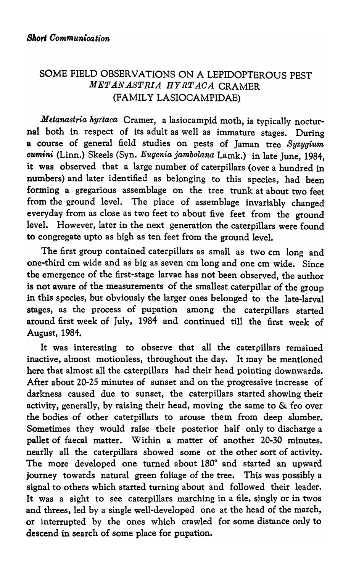## SOME FIELD OBSERVATIONS ON A LEPIDOPTEROUS PEST *MET.AN.ASTRIA HYRTAOA* CRAMER (FAMILY LASIOCAMPIDAE)

*Metanastria hyrtaca* Cramer, a lasiocampid moth, is typically nocturnal both in respect of its adult as well as immature stages. During a course of general field studies on pests of Jaman tree *Syzygium cumini* (Linn.) Skeels (Syn. *Eugenia jambolana* Lamk.) in late June, 1984, it was observed that a large number of caterpillars (over a hundred in numbers) and later identified as belonging to this species, had been forming a gregarious assemblage on the tree trunk at about two feet from the ground level. The place of assemblage invariably changed everyday from as close as two feet to about five feet from the ground level. However, later in the next generation the caterpillars were found to congregate upto as high as ten feet from the ground level.

The first group contained caterpillars as small as two cm long and one-third cm wide and as big as seven cm long and one cm wide. Since the emergence of the first-stage larvae has not been observed, the author is not aware of the measurements of the smallest caterpillar of the group in this species, but obviously the larger ones belonged to the late-larval stages, as the process of pupation among the caterpillars started around first week of July, 1984 and continued till the first week of August, 1984.

It was interesting to observe that all the caterpillars remained inactive, almost motionless, throughout the day. It may be mentioned here that almost all the caterpillars had their head pointing downwards. After about 20-25 minutes of sunset and on the progressive increase of darkness caused due to sunset, the caterpillars started showing their activity, generally, by raising their head, moving the same to & fro over the bodies of other caterpillars to arouse them from deep slumber. Sometimes they would raise their posterior half only to discharge a pallet of faecal matter. Within a matter of another 20-30 minutes. nearlly all the caterpillars showed some or the other sort of activity. The more developed one turned about 180° and started an upward journey towards natural green foliage of the tree. This was possibly a signal to others which started turning about and followed their leader. It was a sight to see caterpillars marching in a file, singly or in twos and threes, led by a single well-developed one at the head of the march, or interrupted by the ones which crawled for some distance only to descend in search of some place for pupation.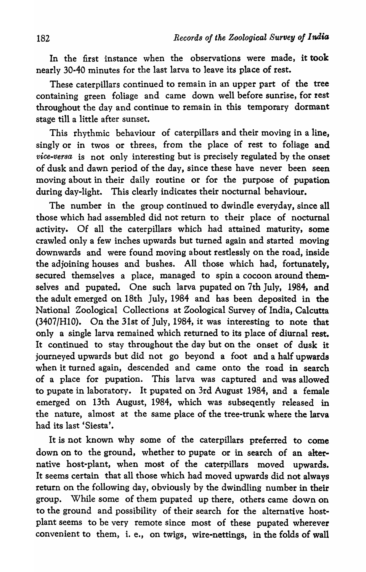In the first instance when the observations were made, it took nearly 30·40 minutes for the last larva to leave its place of rest.

These caterpillars continued to remain in an upper part of the tree containing green foliage and came down well before sunrise, for rest throughout the day and continue to remain in this temporary dormant stage till a little after sunset.

This rhythmic behaviour of caterpillars and their moving in a line, singly or in twos or threes, from the place of rest to foliage and *vice-versa* is not only interesting but is precisely regulated by the onset of dusk and dawn period of the day, since these have never been seen moving about in their daily routine or for the purpose of pupation during day-light. This clearly indicates their nocturnal behaviour.

The number in the group continued to dwindle everyday, since all those which had assembled did not return to their place of nocturnal activity. Of all the caterpillars which had attained maturity, some crawled only a few inches upwards but turned again and started moving downwards and were found moving about restlessly on the road, inside the adjoining houses and bushes. All those which had, fortunately, secured themselves a place, managed to spin a cocoon around themselves and pupated. One such larva pupated on 7th July, 1984, and the adult emerged on 18th July, 1984 and has been deposited in the National Zoological Collections at Zoological Survey of India, Calcutta (3407/HIO). On the 31st of July, 1984, it was interesting to note that only a single larva remained which returned to its place of diurnal rest. It continued to stay throughout the day but on the onset of dusk it journeyed upwards but did not go beyond a foot and a half upwards when it turned again, descended and came onto the road in search of a place for pupation. This larva was captured and was allowed to pupate in laboratory. It pupated on 3rd August 1984, and a female emerged on 13th August, 1984, which was subseqently released in the nature, almost at the same place of the tree-trunk where the larva had its last 'Siesta'.

It is not known why some of the caterpillars preferred to come down on to the ground, whether to pupate or in search of an alternative host-plant, when most of the caterpillars moved upwards. It seems certain that all those which had moved upwards did not always return on the following day, obviously by the dwindling number in their group. While some of them pupated up there, others came down on to the ground and possibility of their search for the alternative hostplant seems to be very remote since most of these pupated wherever convenient to them, i. e., on twigs, wire-nettings, in the folds of wall